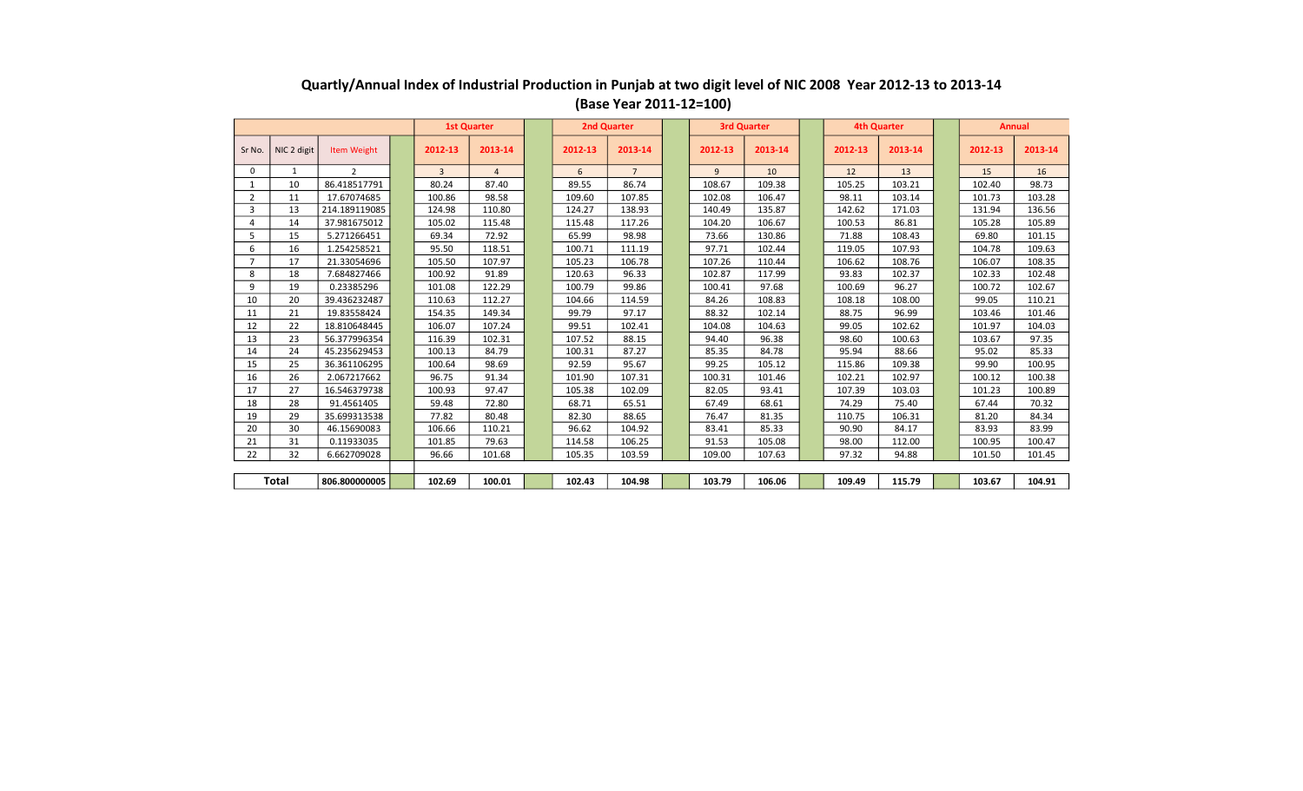|                |             |                    |                | <b>1st Quarter</b> | <b>2nd Quarter</b> |                |         | <b>3rd Quarter</b> |         | <b>4th Quarter</b> |         | <b>Annual</b> |
|----------------|-------------|--------------------|----------------|--------------------|--------------------|----------------|---------|--------------------|---------|--------------------|---------|---------------|
| Sr No.         | NIC 2 digit | <b>Item Weight</b> | 2012-13        | 2013-14            | 2012-13            | 2013-14        | 2012-13 | 2013-14            | 2012-13 | 2013-14            | 2012-13 | 2013-14       |
| $\Omega$       | 1           | $\overline{2}$     | $\overline{3}$ | $\overline{4}$     | 6                  | $\overline{7}$ | 9       | 10                 | 12      | 13                 | 15      | 16            |
|                | 10          | 86.418517791       | 80.24          | 87.40              | 89.55              | 86.74          | 108.67  | 109.38             | 105.25  | 103.21             | 102.40  | 98.73         |
| $\overline{2}$ | 11          | 17.67074685        | 100.86         | 98.58              | 109.60             | 107.85         | 102.08  | 106.47             | 98.11   | 103.14             | 101.73  | 103.28        |
| 3              | 13          | 214.189119085      | 124.98         | 110.80             | 124.27             | 138.93         | 140.49  | 135.87             | 142.62  | 171.03             | 131.94  | 136.56        |
| 4              | 14          | 37.981675012       | 105.02         | 115.48             | 115.48             | 117.26         | 104.20  | 106.67             | 100.53  | 86.81              | 105.28  | 105.89        |
|                | 15          | 5.271266451        | 69.34          | 72.92              | 65.99              | 98.98          | 73.66   | 130.86             | 71.88   | 108.43             | 69.80   | 101.15        |
| 6              | 16          | 1.254258521        | 95.50          | 118.51             | 100.71             | 111.19         | 97.71   | 102.44             | 119.05  | 107.93             | 104.78  | 109.63        |
|                | 17          | 21.33054696        | 105.50         | 107.97             | 105.23             | 106.78         | 107.26  | 110.44             | 106.62  | 108.76             | 106.07  | 108.35        |
| 8              | 18          | 7.684827466        | 100.92         | 91.89              | 120.63             | 96.33          | 102.87  | 117.99             | 93.83   | 102.37             | 102.33  | 102.48        |
| 9              | 19          | 0.23385296         | 101.08         | 122.29             | 100.79             | 99.86          | 100.41  | 97.68              | 100.69  | 96.27              | 100.72  | 102.67        |
| 10             | 20          | 39.436232487       | 110.63         | 112.27             | 104.66             | 114.59         | 84.26   | 108.83             | 108.18  | 108.00             | 99.05   | 110.21        |
| 11             | 21          | 19.83558424        | 154.35         | 149.34             | 99.79              | 97.17          | 88.32   | 102.14             | 88.75   | 96.99              | 103.46  | 101.46        |
| 12             | 22          | 18.810648445       | 106.07         | 107.24             | 99.51              | 102.41         | 104.08  | 104.63             | 99.05   | 102.62             | 101.97  | 104.03        |
| 13             | 23          | 56.377996354       | 116.39         | 102.31             | 107.52             | 88.15          | 94.40   | 96.38              | 98.60   | 100.63             | 103.67  | 97.35         |
| 14             | 24          | 45.235629453       | 100.13         | 84.79              | 100.31             | 87.27          | 85.35   | 84.78              | 95.94   | 88.66              | 95.02   | 85.33         |
| 15             | 25          | 36.361106295       | 100.64         | 98.69              | 92.59              | 95.67          | 99.25   | 105.12             | 115.86  | 109.38             | 99.90   | 100.95        |
| 16             | 26          | 2.067217662        | 96.75          | 91.34              | 101.90             | 107.31         | 100.31  | 101.46             | 102.21  | 102.97             | 100.12  | 100.38        |
| 17             | 27          | 16.546379738       | 100.93         | 97.47              | 105.38             | 102.09         | 82.05   | 93.41              | 107.39  | 103.03             | 101.23  | 100.89        |
| 18             | 28          | 91.4561405         | 59.48          | 72.80              | 68.71              | 65.51          | 67.49   | 68.61              | 74.29   | 75.40              | 67.44   | 70.32         |
| 19             | 29          | 35.699313538       | 77.82          | 80.48              | 82.30              | 88.65          | 76.47   | 81.35              | 110.75  | 106.31             | 81.20   | 84.34         |
| 20             | 30          | 46.15690083        | 106.66         | 110.21             | 96.62              | 104.92         | 83.41   | 85.33              | 90.90   | 84.17              | 83.93   | 83.99         |
| 21             | 31          | 0.11933035         | 101.85         | 79.63              | 114.58             | 106.25         | 91.53   | 105.08             | 98.00   | 112.00             | 100.95  | 100.47        |
| 22             | 32          | 6.662709028        | 96.66          | 101.68             | 105.35             | 103.59         | 109.00  | 107.63             | 97.32   | 94.88              | 101.50  | 101.45        |
|                |             |                    |                |                    |                    |                |         |                    |         |                    |         |               |
| <b>Total</b>   |             | 806.800000005      | 102.69         | 100.01             | 102.43             | 104.98         | 103.79  | 106.06             | 109.49  | 115.79             | 103.67  | 104.91        |

## **Quartly/Annual Index of Industrial Production in Punjab at two digit level of NIC 2008 Year 2012-13 to 2013-14 (Base Year 2011-12=100)**